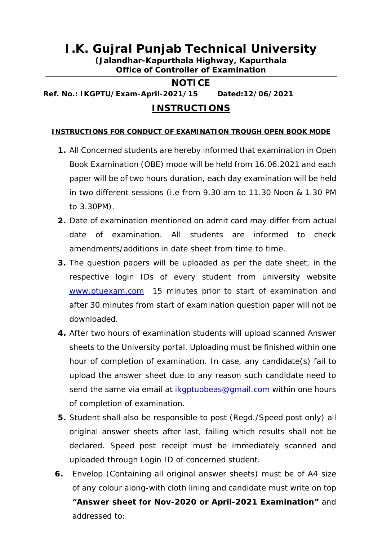## **I.K. Gujral Punjab Technical University**

**(Jalandhar-Kapurthala Highway, Kapurthala Office of Controller of Examination** 

## **NOTICE**

**Ref. No.: IKGPTU/Exam-April-2021/15 Dated:12/06/2021**

## **INSTRUCTIONS**

## **INSTRUCTIONS FOR CONDUCT OF EXAMINATION TROUGH OPEN BOOK MODE**

- **1.** All Concerned students are hereby informed that examination in Open Book Examination (OBE) mode will be held from 16.06.2021 and each paper will be of two hours duration, each day examination will be held in two different sessions (i.e from 9.30 am to 11.30 Noon & 1.30 PM to 3.30PM).
- **2.** Date of examination mentioned on admit card may differ from actual date of examination. All students are informed to check amendments/additions in date sheet from time to time.
- **3.** The question papers will be uploaded as per the date sheet, in the respective login IDs of every student from university website [www.ptuexam.com](http://www.ptuexam.com) 15 minutes prior to start of examination and after 30 minutes from start of examination question paper will not be downloaded.
- **4.** After two hours of examination students will upload scanned Answer sheets to the University portal. Uploading must be finished within one hour of completion of examination. In case, any candidate(s) fail to upload the answer sheet due to any reason such candidate need to send the same via email at [ikgptuobeas@gmail.com](mailto:ikgptuobeas@gmail.com) within one hours of completion of examination.
- **5.** Student shall also be responsible to post (Regd./Speed post only) all original answer sheets after last, failing which results shall not be declared. Speed post receipt must be immediately scanned and uploaded through Login ID of concerned student.
- **6.** Envelop (Containing all original answer sheets) must be of A4 size of any colour along-with cloth lining and candidate must write on top **"Answer sheet for Nov-2020 or April-2021 Examination"** and addressed to: